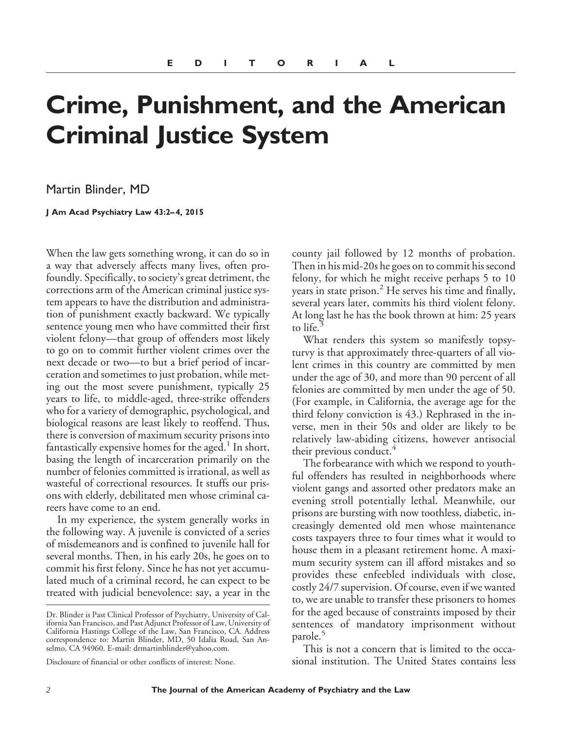## **Crime, Punishment, and the American Criminal Justice System**

Martin Blinder, MD

**J Am Acad Psychiatry Law 43:2– 4, 2015**

When the law gets something wrong, it can do so in a way that adversely affects many lives, often profoundly. Specifically, to society's great detriment, the corrections arm of the American criminal justice system appears to have the distribution and administration of punishment exactly backward. We typically sentence young men who have committed their first violent felony—that group of offenders most likely to go on to commit further violent crimes over the next decade or two—to but a brief period of incarceration and sometimes to just probation, while meting out the most severe punishment, typically 25 years to life, to middle-aged, three-strike offenders who for a variety of demographic, psychological, and biological reasons are least likely to reoffend. Thus, there is conversion of maximum security prisons into fantastically expensive homes for the aged. $<sup>1</sup>$  In short,</sup> basing the length of incarceration primarily on the number of felonies committed is irrational, as well as wasteful of correctional resources. It stuffs our prisons with elderly, debilitated men whose criminal careers have come to an end.

In my experience, the system generally works in the following way. A juvenile is convicted of a series of misdemeanors and is confined to juvenile hall for several months. Then, in his early 20s, he goes on to commit his first felony. Since he has not yet accumulated much of a criminal record, he can expect to be treated with judicial benevolence: say, a year in the

county jail followed by 12 months of probation. Then in his mid-20s he goes on to commit his second felony, for which he might receive perhaps 5 to 10 years in state prison.<sup>2</sup> He serves his time and finally, several years later, commits his third violent felony. At long last he has the book thrown at him: 25 years to life.

What renders this system so manifestly topsyturvy is that approximately three-quarters of all violent crimes in this country are committed by men under the age of 30, and more than 90 percent of all felonies are committed by men under the age of 50. (For example, in California, the average age for the third felony conviction is 43.) Rephrased in the inverse, men in their 50s and older are likely to be relatively law-abiding citizens, however antisocial their previous conduct.<sup>4</sup>

The forbearance with which we respond to youthful offenders has resulted in neighborhoods where violent gangs and assorted other predators make an evening stroll potentially lethal. Meanwhile, our prisons are bursting with now toothless, diabetic, increasingly demented old men whose maintenance costs taxpayers three to four times what it would to house them in a pleasant retirement home. A maximum security system can ill afford mistakes and so provides these enfeebled individuals with close, costly 24/7 supervision. Of course, even if we wanted to, we are unable to transfer these prisoners to homes for the aged because of constraints imposed by their sentences of mandatory imprisonment without parole.<sup>5</sup>

This is not a concern that is limited to the occasional institution. The United States contains less

Dr. Blinder is Past Clinical Professor of Psychiatry, University of California San Francisco, and Past Adjunct Professor of Law, University of California Hastings College of the Law, San Francisco, CA. Address correspondence to: Martin Blinder, MD, 50 Idalia Road, San Anselmo, CA 94960. E-mail: drmartinblinder@yahoo.com.

Disclosure of financial or other conflicts of interest: None.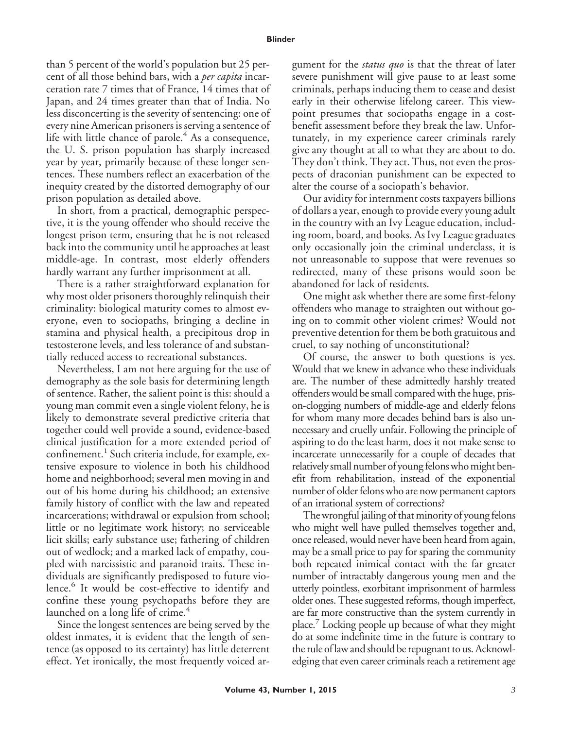## **Blinder**

than 5 percent of the world's population but 25 percent of all those behind bars, with a *per capita* incarceration rate 7 times that of France, 14 times that of Japan, and 24 times greater than that of India. No less disconcerting is the severity of sentencing: one of every nine American prisoners is serving a sentence of life with little chance of parole. $4$  As a consequence, the U. S. prison population has sharply increased year by year, primarily because of these longer sentences. These numbers reflect an exacerbation of the inequity created by the distorted demography of our prison population as detailed above.

In short, from a practical, demographic perspective, it is the young offender who should receive the longest prison term, ensuring that he is not released back into the community until he approaches at least middle-age. In contrast, most elderly offenders hardly warrant any further imprisonment at all.

There is a rather straightforward explanation for why most older prisoners thoroughly relinquish their criminality: biological maturity comes to almost everyone, even to sociopaths, bringing a decline in stamina and physical health, a precipitous drop in testosterone levels, and less tolerance of and substantially reduced access to recreational substances.

Nevertheless, I am not here arguing for the use of demography as the sole basis for determining length of sentence. Rather, the salient point is this: should a young man commit even a single violent felony, he is likely to demonstrate several predictive criteria that together could well provide a sound, evidence-based clinical justification for a more extended period of confinement.<sup>1</sup> Such criteria include, for example, extensive exposure to violence in both his childhood home and neighborhood; several men moving in and out of his home during his childhood; an extensive family history of conflict with the law and repeated incarcerations; withdrawal or expulsion from school; little or no legitimate work history; no serviceable licit skills; early substance use; fathering of children out of wedlock; and a marked lack of empathy, coupled with narcissistic and paranoid traits. These individuals are significantly predisposed to future violence.<sup>6</sup> It would be cost-effective to identify and confine these young psychopaths before they are launched on a long life of crime.<sup>4</sup>

Since the longest sentences are being served by the oldest inmates, it is evident that the length of sentence (as opposed to its certainty) has little deterrent effect. Yet ironically, the most frequently voiced argument for the *status quo* is that the threat of later severe punishment will give pause to at least some criminals, perhaps inducing them to cease and desist early in their otherwise lifelong career. This viewpoint presumes that sociopaths engage in a costbenefit assessment before they break the law. Unfortunately, in my experience career criminals rarely give any thought at all to what they are about to do. They don't think. They act. Thus, not even the prospects of draconian punishment can be expected to alter the course of a sociopath's behavior.

Our avidity for internment costs taxpayers billions of dollars a year, enough to provide every young adult in the country with an Ivy League education, including room, board, and books. As Ivy League graduates only occasionally join the criminal underclass, it is not unreasonable to suppose that were revenues so redirected, many of these prisons would soon be abandoned for lack of residents.

One might ask whether there are some first-felony offenders who manage to straighten out without going on to commit other violent crimes? Would not preventive detention for them be both gratuitous and cruel, to say nothing of unconstitutional?

Of course, the answer to both questions is yes. Would that we knew in advance who these individuals are. The number of these admittedly harshly treated offenders would be small compared with the huge, prison-clogging numbers of middle-age and elderly felons for whom many more decades behind bars is also unnecessary and cruelly unfair. Following the principle of aspiring to do the least harm, does it not make sense to incarcerate unnecessarily for a couple of decades that relatively small number of young felons who might benefit from rehabilitation, instead of the exponential number of older felons who are now permanent captors of an irrational system of corrections?

The wrongful jailing of that minority of young felons who might well have pulled themselves together and, once released, would never have been heard from again, may be a small price to pay for sparing the community both repeated inimical contact with the far greater number of intractably dangerous young men and the utterly pointless, exorbitant imprisonment of harmless older ones. These suggested reforms, though imperfect, are far more constructive than the system currently in place.7 Locking people up because of what they might do at some indefinite time in the future is contrary to the rule of law and should be repugnant to us. Acknowledging that even career criminals reach a retirement age